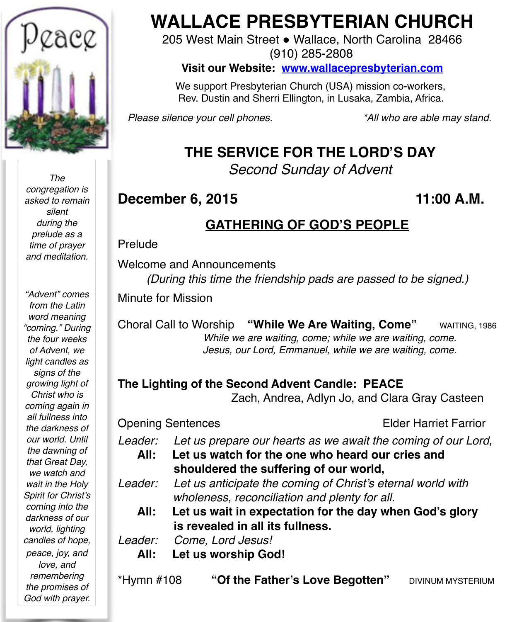

*The congregation is asked to remain silent during the prelude as a time of prayer and meditation.*

*"Advent" comes from the Latin word meaning "coming." During the four weeks of Advent, we light candles as signs of the growing light of Christ who is coming again in all fullness into the darkness of our world. Until the dawning of that Great Day, we watch and wait in the Holy Spirit for Christ's coming into the darkness of our world, lighting candles of hope, peace, joy, and love, and remembering the promises of God with prayer.*

# **WALLACE PRESBYTERIAN CHURCH**

205 West Main Street . Wallace, North Carolina 28466 (910) 285-2808

**Visit our Website: [www.wallacepresbyterian.com](http://www.wallacepresbyterian.com)**

 We support Presbyterian Church (USA) mission co-workers, Rev. Dustin and Sherri Ellington, in Lusaka, Zambia, Africa.

*Please silence your cell phones. \*All who are able may stand.*

# **THE SERVICE FOR THE LORD'S DAY**

*Second Sunday of Advent*

## **December 6, 2015 11:00 A.M.**

# **GATHERING OF GOD'S PEOPLE**

#### Prelude

Welcome and Announcements

*(During this time the friendship pads are passed to be signed.)*

Minute for Mission

Choral Call to Worship **"While We Are Waiting, Come"** WAITING, 1986  *While we are waiting, come; while we are waiting, come. Jesus, our Lord, Emmanuel, while we are waiting, come.*

#### **The Lighting of the Second Advent Candle: PEACE**

Zach, Andrea, Adlyn Jo, and Clara Gray Casteen

Opening SentencesElder Harriet Farrior

- *Leader: Let us prepare our hearts as we await the coming of our Lord,*
	- **All: Let us watch for the one who heard our cries and shouldered the suffering of our world,**
- *Leader: Let us anticipate the coming of Christ's eternal world with wholeness, reconciliation and plenty for all.*
	- **All: Let us wait in expectation for the day when God's glory is revealed in all its fullness.**

*Leader: Come, Lord Jesus!* 

- **All: Let us worship God!**
- \*Hymn #108 "Of the Father's Love Begotten" DIVINUM MYSTERIUM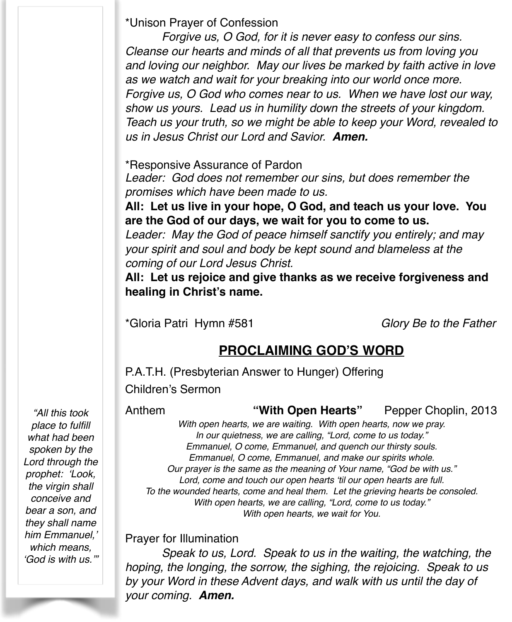\*Unison Prayer of Confession

*Forgive us, O God, for it is never easy to confess our sins. Cleanse our hearts and minds of all that prevents us from loving you and loving our neighbor. May our lives be marked by faith active in love as we watch and wait for your breaking into our world once more. Forgive us, O God who comes near to us. When we have lost our way, show us yours. Lead us in humility down the streets of your kingdom. Teach us your truth, so we might be able to keep your Word, revealed to us in Jesus Christ our Lord and Savior. Amen.*

\*Responsive Assurance of Pardon

*Leader: God does not remember our sins, but does remember the promises which have been made to us.*

**All: Let us live in your hope, O God, and teach us your love. You are the God of our days, we wait for you to come to us.**

*Leader: May the God of peace himself sanctify you entirely; and may your spirit and soul and body be kept sound and blameless at the coming of our Lord Jesus Christ.*

**All: Let us rejoice and give thanks as we receive forgiveness and healing in Christ's name.**

\*Gloria Patri Hymn #581 *Glory Be to the Father*

# **PROCLAIMING GOD'S WORD**

P.A.T.H. (Presbyterian Answer to Hunger) Offering Children's Sermon

Anthem **"With Open Hearts"** Pepper Choplin, 2013

*"All this took place to fulfill what had been spoken by the Lord through the prophet: 'Look, the virgin shall conceive and bear a son, and they shall name him Emmanuel,' which means, 'God is with us.'"*

*With open hearts, we are waiting. With open hearts, now we pray. In our quietness, we are calling, "Lord, come to us today." Emmanuel, O come, Emmanuel, and quench our thirsty souls. Emmanuel, O come, Emmanuel, and make our spirits whole. Our prayer is the same as the meaning of Your name, "God be with us." Lord, come and touch our open hearts 'til our open hearts are full. To the wounded hearts, come and heal them. Let the grieving hearts be consoled. With open hearts, we are calling, "Lord, come to us today." With open hearts, we wait for You.*

Prayer for Illumination

*Speak to us, Lord. Speak to us in the waiting, the watching, the hoping, the longing, the sorrow, the sighing, the rejoicing. Speak to us by your Word in these Advent days, and walk with us until the day of your coming. Amen.*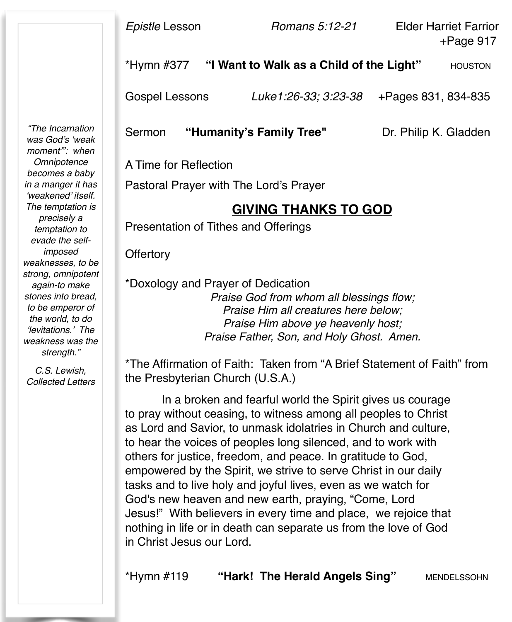\*Hymn #377 "I Want to Walk as a Child of the Light" **HOUSTON** 

Gospel Lessons *Luke1:26-33; 3:23-38* +Pages 831, 834-835

Sermon **"Humanity's Family Tree"** Dr. Philip K. Gladden

A Time for Reflection

Pastoral Prayer with The Lord's Prayer

### **GIVING THANKS TO GOD**

Presentation of Tithes and Offerings

**Offertory** 

\*Doxology and Prayer of Dedication *Praise God from whom all blessings flow; Praise Him all creatures here below; Praise Him above ye heavenly host; Praise Father, Son, and Holy Ghost. Amen.*

\*The Affirmation of Faith: Taken from "A Brief Statement of Faith" from the Presbyterian Church (U.S.A.)

In a broken and fearful world the Spirit gives us courage to pray without ceasing, to witness among all peoples to Christ as Lord and Savior, to unmask idolatries in Church and culture, to hear the voices of peoples long silenced, and to work with others for justice, freedom, and peace. In gratitude to God, empowered by the Spirit, we strive to serve Christ in our daily tasks and to live holy and joyful lives, even as we watch for God's new heaven and new earth, praying, "Come, Lord Jesus!" With believers in every time and place, we rejoice that nothing in life or in death can separate us from the love of God in Christ Jesus our Lord.

\*Hymn #119 **"Hark! The Herald Angels Sing"** MENDELSSOHN

*"The Incarnation was God's 'weak moment'": when Omnipotence becomes a baby in a manger it has 'weakened' itself. The temptation is precisely a temptation to evade the selfimposed weaknesses, to be strong, omnipotent again-to make stones into bread, to be emperor of the world, to do 'levitations.' The weakness was the strength."*

*C.S. Lewish, Collected Letters*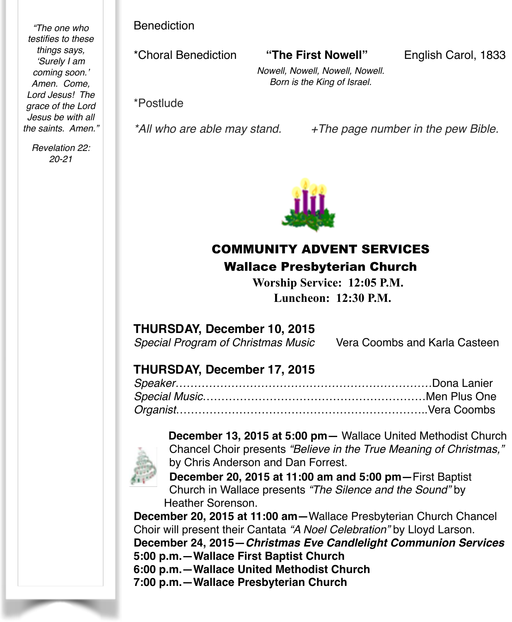*"The one who testifies to these things says, 'Surely I am coming soon.' Amen. Come, Lord Jesus! The grace of the Lord Jesus be with all the saints. Amen."*

*Revelation 22: 20-21*

Benediction

\*Choral Benediction **"The First Nowell"** English Carol, 1833

*Nowell, Nowell, Nowell, Nowell. Born is the King of Israel.*

\*Postlude

*\*All who are able may stand. +The page number in the pew Bible.*



# COMMUNITY ADVENT SERVICES Wallace Presbyterian Church

 **Worship Service: 12:05 P.M. Luncheon: 12:30 P.M.** 

#### **THURSDAY, December 10, 2015**

*Special Program of Christmas Music* Vera Coombs and Karla Casteen

#### **THURSDAY, December 17, 2015**



**December 13, 2015 at 5:00 pm—** Wallace United Methodist Church Chancel Choir presents *"Believe in the True Meaning of Christmas,"* by Chris Anderson and Dan Forrest.

**December 20, 2015 at 11:00 am and 5:00 pm—**First Baptist Church in Wallace presents *"The Silence and the Sound"* by Heather Sorenson.

**December 20, 2015 at 11:00 am—**Wallace Presbyterian Church Chancel Choir will present their Cantata *"A Noel Celebration"* by Lloyd Larson.

**December 24, 2015—***Christmas Eve Candlelight Communion Services* **5:00 p.m.—Wallace First Baptist Church**

**6:00 p.m.—Wallace United Methodist Church**

**7:00 p.m.—Wallace Presbyterian Church**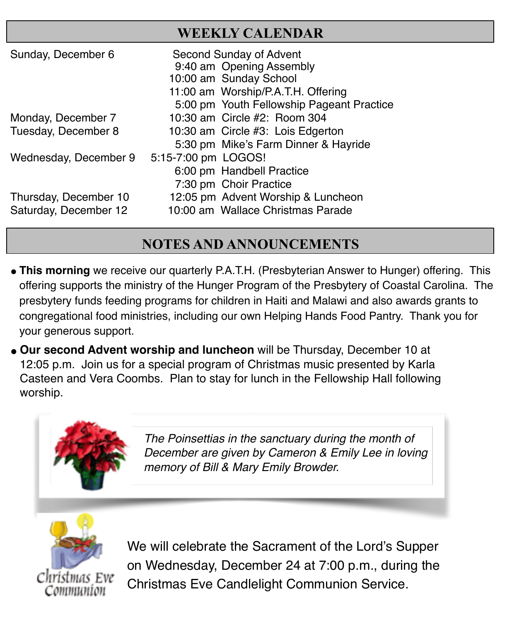# **WEEKLY CALENDAR**

| Sunday, December 6    | Second Sunday of Advent<br>9:40 am Opening Assembly<br>10:00 am Sunday School<br>11:00 am Worship/P.A.T.H. Offering<br>5:00 pm Youth Fellowship Pageant Practice |
|-----------------------|------------------------------------------------------------------------------------------------------------------------------------------------------------------|
| Monday, December 7    | 10:30 am Circle #2: Room 304                                                                                                                                     |
| Tuesday, December 8   | 10:30 am Circle #3: Lois Edgerton                                                                                                                                |
|                       | 5:30 pm Mike's Farm Dinner & Hayride                                                                                                                             |
| Wednesday, December 9 | 5:15-7:00 pm LOGOS!                                                                                                                                              |
|                       | 6:00 pm Handbell Practice                                                                                                                                        |
|                       | 7:30 pm Choir Practice                                                                                                                                           |
| Thursday, December 10 | 12:05 pm Advent Worship & Luncheon                                                                                                                               |
| Saturday, December 12 | 10:00 am Wallace Christmas Parade                                                                                                                                |

# **NOTES AND ANNOUNCEMENTS**

- " **This morning** we receive our quarterly P.A.T.H. (Presbyterian Answer to Hunger) offering. This offering supports the ministry of the Hunger Program of the Presbytery of Coastal Carolina. The presbytery funds feeding programs for children in Haiti and Malawi and also awards grants to congregational food ministries, including our own Helping Hands Food Pantry. Thank you for your generous support.
- " **Our second Advent worship and luncheon** will be Thursday, December 10 at 12:05 p.m. Join us for a special program of Christmas music presented by Karla Casteen and Vera Coombs. Plan to stay for lunch in the Fellowship Hall following worship.



*The Poinsettias in the sanctuary during the month of December are given by Cameron & Emily Lee in loving memory of Bill & Mary Emily Browder.*



We will celebrate the Sacrament of the Lord's Supper on Wednesday, December 24 at 7:00 p.m., during the Christmas Eve Candlelight Communion Service.